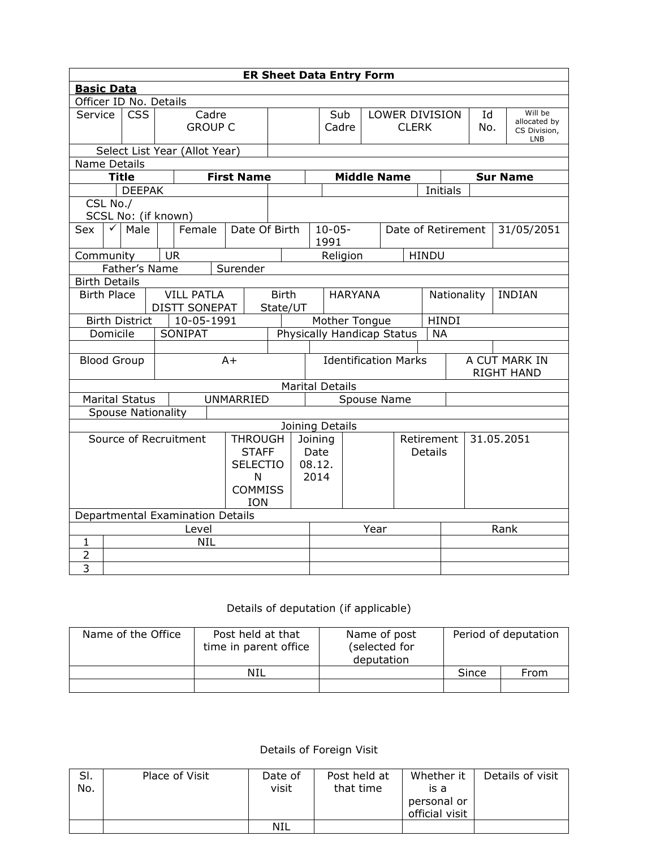| <b>ER Sheet Data Entry Form</b>                                              |                                                                 |  |                                  |                                 |                          |                                                 |  |                                         |                |  |                    |                                    |            |               |  |                                                |
|------------------------------------------------------------------------------|-----------------------------------------------------------------|--|----------------------------------|---------------------------------|--------------------------|-------------------------------------------------|--|-----------------------------------------|----------------|--|--------------------|------------------------------------|------------|---------------|--|------------------------------------------------|
| <b>Basic Data</b>                                                            |                                                                 |  |                                  |                                 |                          |                                                 |  |                                         |                |  |                    |                                    |            |               |  |                                                |
|                                                                              | Officer ID No. Details                                          |  |                                  |                                 |                          |                                                 |  |                                         |                |  |                    |                                    |            |               |  |                                                |
| Service                                                                      | <b>CSS</b>                                                      |  |                                  | Cadre<br><b>GROUP C</b>         |                          |                                                 |  | Sub<br>Cadre                            |                |  |                    | LOWER DIVISION<br>CLERK            |            | Id<br>No.     |  | Will be<br>allocated by<br>CS Division,<br>LNB |
|                                                                              |                                                                 |  | Select List Year (Allot Year)    |                                 |                          |                                                 |  |                                         |                |  |                    |                                    |            |               |  |                                                |
|                                                                              | <b>Name Details</b>                                             |  |                                  |                                 |                          |                                                 |  |                                         |                |  |                    |                                    |            |               |  |                                                |
|                                                                              | <b>Title</b>                                                    |  |                                  |                                 | <b>First Name</b>        |                                                 |  |                                         |                |  | <b>Middle Name</b> |                                    |            |               |  | <b>Sur Name</b>                                |
|                                                                              | <b>DEEPAK</b>                                                   |  |                                  |                                 |                          |                                                 |  |                                         |                |  |                    |                                    | Initials   |               |  |                                                |
| CSL No./                                                                     |                                                                 |  |                                  |                                 |                          |                                                 |  |                                         |                |  |                    |                                    |            |               |  |                                                |
|                                                                              | SCSL No: (if known)                                             |  |                                  |                                 |                          |                                                 |  |                                         |                |  |                    |                                    |            |               |  |                                                |
| Sex                                                                          | Male                                                            |  | Female                           |                                 | Date Of Birth            |                                                 |  | $10 - 05 -$<br>1991                     |                |  | Date of Retirement |                                    |            |               |  | 31/05/2051                                     |
| Community                                                                    |                                                                 |  | <b>UR</b>                        |                                 |                          |                                                 |  | Religion                                |                |  |                    | HINDU                              |            |               |  |                                                |
|                                                                              | Father's Name<br>Surender                                       |  |                                  |                                 |                          |                                                 |  |                                         |                |  |                    |                                    |            |               |  |                                                |
| <b>Birth Details</b>                                                         |                                                                 |  |                                  |                                 |                          |                                                 |  |                                         |                |  |                    |                                    |            |               |  |                                                |
|                                                                              | <b>VILL PATLA</b><br><b>Birth Place</b><br><b>DISTT SONEPAT</b> |  |                                  |                                 | <b>Birth</b><br>State/UT | <b>HARYANA</b>                                  |  |                                         |                |  | Nationality        |                                    |            | <b>INDIAN</b> |  |                                                |
| 10-05-1991<br>Mother Tongue<br><b>Birth District</b>                         |                                                                 |  |                                  |                                 |                          |                                                 |  |                                         | <b>HINDI</b>   |  |                    |                                    |            |               |  |                                                |
| Domicile                                                                     |                                                                 |  | SONIPAT                          |                                 |                          |                                                 |  | Physically Handicap Status<br><b>NA</b> |                |  |                    |                                    |            |               |  |                                                |
|                                                                              |                                                                 |  |                                  |                                 |                          |                                                 |  |                                         |                |  |                    |                                    |            |               |  |                                                |
| <b>Blood Group</b>                                                           |                                                                 |  |                                  | $A+$                            |                          | <b>Identification Marks</b>                     |  |                                         |                |  |                    | A CUT MARK IN<br><b>RIGHT HAND</b> |            |               |  |                                                |
|                                                                              |                                                                 |  |                                  |                                 |                          |                                                 |  | <b>Marital Details</b>                  |                |  |                    |                                    |            |               |  |                                                |
|                                                                              | Marital Status                                                  |  |                                  |                                 | <b>UNMARRIED</b>         |                                                 |  | Spouse Name                             |                |  |                    |                                    |            |               |  |                                                |
|                                                                              | <b>Spouse Nationality</b>                                       |  |                                  |                                 |                          |                                                 |  |                                         |                |  |                    |                                    |            |               |  |                                                |
|                                                                              |                                                                 |  |                                  |                                 |                          |                                                 |  | Joining Details                         |                |  |                    |                                    |            |               |  |                                                |
| Source of Recruitment<br><b>THROUGH</b><br><b>SELECTIO</b><br><b>COMMISS</b> |                                                                 |  |                                  | <b>STAFF</b><br>N<br><b>ION</b> |                          | Retirement<br>Joining<br>Date<br>08.12.<br>2014 |  |                                         | <b>Details</b> |  |                    |                                    | 31.05.2051 |               |  |                                                |
|                                                                              |                                                                 |  | Departmental Examination Details |                                 |                          |                                                 |  |                                         |                |  |                    |                                    |            |               |  |                                                |
| Level                                                                        |                                                                 |  |                                  |                                 |                          | Year                                            |  |                                         |                |  | Rank               |                                    |            |               |  |                                                |
| $\mathbf{1}$                                                                 |                                                                 |  | <b>NIL</b>                       |                                 |                          |                                                 |  |                                         |                |  |                    |                                    |            |               |  |                                                |
| $\overline{2}$                                                               |                                                                 |  |                                  |                                 |                          |                                                 |  |                                         |                |  |                    |                                    |            |               |  |                                                |
| $\overline{3}$                                                               |                                                                 |  |                                  |                                 |                          |                                                 |  |                                         |                |  |                    |                                    |            |               |  |                                                |

## Details of deputation (if applicable)

| Name of the Office | Post held at that<br>time in parent office | Name of post<br>(selected for<br>deputation | Period of deputation |      |  |
|--------------------|--------------------------------------------|---------------------------------------------|----------------------|------|--|
|                    | NIL                                        |                                             | Since                | From |  |
|                    |                                            |                                             |                      |      |  |

## Details of Foreign Visit

| SI.<br>No. | Place of Visit | Date of<br>visit | Post held at<br>that time | Whether it<br>is a | Details of visit |
|------------|----------------|------------------|---------------------------|--------------------|------------------|
|            |                |                  |                           | personal or        |                  |
|            |                |                  |                           | official visit     |                  |
|            |                | NIL              |                           |                    |                  |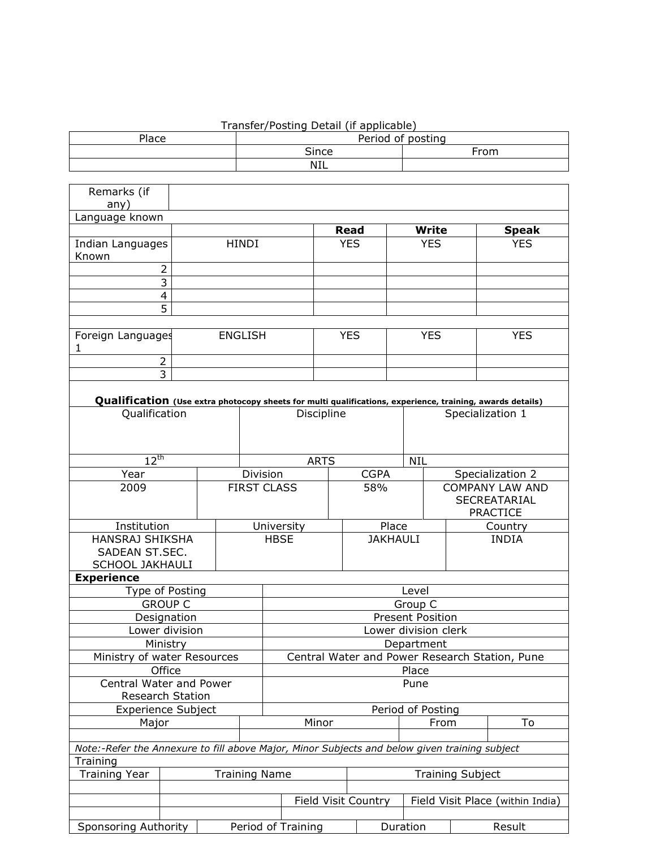## Transfer/Posting Detail (if applicable)

| Place | Period of posting |      |  |  |  |  |
|-------|-------------------|------|--|--|--|--|
|       | <b>Since</b>      | From |  |  |  |  |
|       | <b>NIL</b>        |      |  |  |  |  |

| Remarks (if                                                                                               |                |  |                      |                                                |             |  |                            |            |              |                         |                                  |  |
|-----------------------------------------------------------------------------------------------------------|----------------|--|----------------------|------------------------------------------------|-------------|--|----------------------------|------------|--------------|-------------------------|----------------------------------|--|
| any)                                                                                                      |                |  |                      |                                                |             |  |                            |            |              |                         |                                  |  |
| Language known                                                                                            |                |  |                      |                                                |             |  |                            |            |              |                         |                                  |  |
|                                                                                                           |                |  |                      |                                                |             |  | <b>Read</b>                |            | <b>Write</b> |                         | <b>Speak</b>                     |  |
| <b>Indian Languages</b><br>Known                                                                          |                |  | <b>HINDI</b>         |                                                |             |  | <b>YES</b>                 | <b>YES</b> |              |                         | <b>YES</b>                       |  |
| $\overline{2}$<br>3                                                                                       |                |  |                      |                                                |             |  |                            |            |              |                         |                                  |  |
|                                                                                                           | 4              |  |                      |                                                |             |  |                            |            |              |                         |                                  |  |
|                                                                                                           | 5              |  |                      |                                                |             |  |                            |            |              |                         |                                  |  |
|                                                                                                           |                |  |                      |                                                |             |  |                            |            |              |                         |                                  |  |
| Foreign Languages<br>1                                                                                    |                |  | <b>ENGLISH</b>       |                                                |             |  | <b>YES</b>                 |            | <b>YES</b>   |                         | <b>YES</b>                       |  |
| $\overline{2}$                                                                                            |                |  |                      |                                                |             |  |                            |            |              |                         |                                  |  |
|                                                                                                           | 3              |  |                      |                                                |             |  |                            |            |              |                         |                                  |  |
|                                                                                                           |                |  |                      |                                                |             |  |                            |            |              |                         |                                  |  |
| Qualification (Use extra photocopy sheets for multi qualifications, experience, training, awards details) |                |  |                      |                                                |             |  |                            |            |              |                         |                                  |  |
| Qualification                                                                                             |                |  |                      | Discipline                                     |             |  |                            |            |              | Specialization 1        |                                  |  |
| $12^{th}$                                                                                                 |                |  |                      |                                                | <b>ARTS</b> |  |                            | <b>NIL</b> |              |                         |                                  |  |
| Year                                                                                                      |                |  | Division             |                                                |             |  | <b>CGPA</b>                |            |              |                         | Specialization 2                 |  |
| 2009                                                                                                      |                |  |                      | <b>FIRST CLASS</b>                             |             |  | 58%                        |            |              |                         | <b>COMPANY LAW AND</b>           |  |
|                                                                                                           |                |  |                      |                                                |             |  |                            |            |              |                         | SECREATARIAL<br><b>PRACTICE</b>  |  |
| Institution                                                                                               |                |  |                      |                                                | University  |  | Place                      |            |              |                         | Country                          |  |
| <b>HANSRAJ SHIKSHA</b><br>SADEAN ST.SEC.                                                                  |                |  |                      | <b>HBSE</b>                                    |             |  | <b>JAKHAULI</b>            |            |              |                         | <b>INDIA</b>                     |  |
| <b>SCHOOL JAKHAULI</b>                                                                                    |                |  |                      |                                                |             |  |                            |            |              |                         |                                  |  |
| <b>Experience</b>                                                                                         |                |  |                      |                                                |             |  |                            |            |              |                         |                                  |  |
| Type of Posting                                                                                           |                |  |                      |                                                |             |  |                            | Level      |              |                         |                                  |  |
|                                                                                                           | <b>GROUP C</b> |  |                      | Group C                                        |             |  |                            |            |              |                         |                                  |  |
|                                                                                                           | Designation    |  |                      | <b>Present Position</b>                        |             |  |                            |            |              |                         |                                  |  |
|                                                                                                           | Lower division |  |                      | Lower division clerk                           |             |  |                            |            |              |                         |                                  |  |
|                                                                                                           | Ministry       |  |                      | Department                                     |             |  |                            |            |              |                         |                                  |  |
| Ministry of water Resources                                                                               |                |  |                      | Central Water and Power Research Station, Pune |             |  |                            |            |              |                         |                                  |  |
|                                                                                                           | Office         |  |                      | Place                                          |             |  |                            |            |              |                         |                                  |  |
| <b>Central Water and Power</b>                                                                            |                |  |                      |                                                |             |  |                            | Pune       |              |                         |                                  |  |
| Research Station                                                                                          |                |  |                      |                                                |             |  |                            |            |              |                         |                                  |  |
| <b>Experience Subject</b>                                                                                 |                |  |                      | Period of Posting                              |             |  |                            |            |              |                         |                                  |  |
| Major                                                                                                     |                |  |                      | Minor                                          |             |  |                            | From       |              | To                      |                                  |  |
|                                                                                                           |                |  |                      |                                                |             |  |                            |            |              |                         |                                  |  |
| Note:-Refer the Annexure to fill above Major, Minor Subjects and below given training subject             |                |  |                      |                                                |             |  |                            |            |              |                         |                                  |  |
| Training                                                                                                  |                |  |                      |                                                |             |  |                            |            |              |                         |                                  |  |
| <b>Training Year</b>                                                                                      |                |  | <b>Training Name</b> |                                                |             |  |                            |            |              | <b>Training Subject</b> |                                  |  |
|                                                                                                           |                |  |                      |                                                |             |  |                            |            |              |                         |                                  |  |
|                                                                                                           |                |  |                      |                                                |             |  | <b>Field Visit Country</b> |            |              |                         | Field Visit Place (within India) |  |
| Sponsoring Authority                                                                                      |                |  |                      | Period of Training                             |             |  |                            | Duration   |              |                         | Result                           |  |